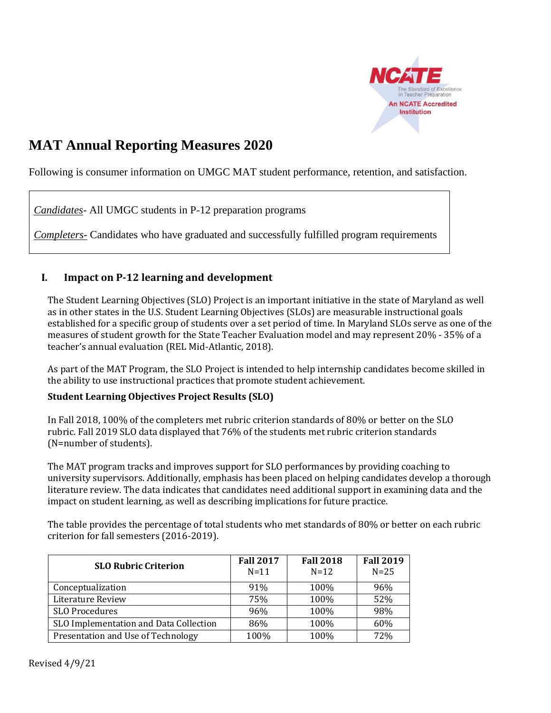

# **MAT Annual Reporting Measures 2020**

Following is consumer information on UMGC MAT student performance, retention, and satisfaction.

*Candidates*- All UMGC students in P-12 preparation programs

*Completers*- Candidates who have graduated and successfully fulfilled program requirements

# **I. Impact on P-12 learning and development**

The Student Learning Objectives (SLO) Project is an important initiative in the state of Maryland as well as in other states in the U.S. Student Learning Objectives (SLOs) are measurable instructional goals established for a specific group of students over a set period of time. In Maryland SLOs serve as one of the measures of student growth for the State Teacher Evaluation model and may represent 20% - 35% of a teacher's annual evaluation (REL Mid-Atlantic, 2018).

As part of the MAT Program, the SLO Project is intended to help internship candidates become skilled in the ability to use instructional practices that promote student achievement.

### **Student Learning Objectives Project Results (SLO)**

In Fall 2018, 100% of the completers met rubric criterion standards of 80% or better on the SLO rubric. Fall 2019 SLO data displayed that 76% of the students met rubric criterion standards (N=number of students).

The MAT program tracks and improves support for SLO performances by providing coaching to university supervisors. Additionally, emphasis has been placed on helping candidates develop a thorough literature review. The data indicates that candidates need additional support in examining data and the impact on student learning, as well as describing implications for future practice.

The table provides the percentage of total students who met standards of 80% or better on each rubric criterion for fall semesters (2016-2019).

| <b>SLO Rubric Criterion</b>            | <b>Fall 2017</b><br>$N=11$ | <b>Fall 2018</b><br>$N=12$ | <b>Fall 2019</b><br>$N=25$ |
|----------------------------------------|----------------------------|----------------------------|----------------------------|
| Conceptualization                      | 91%                        | 100%                       | 96%                        |
| <b>Literature Review</b>               | 75%                        | 100%                       | 52%                        |
| <b>SLO Procedures</b>                  | 96%                        | 100%                       | 98%                        |
| SLO Implementation and Data Collection | 86%                        | 100%                       | 60%                        |
| Presentation and Use of Technology     | 100%                       | 100%                       | 72%                        |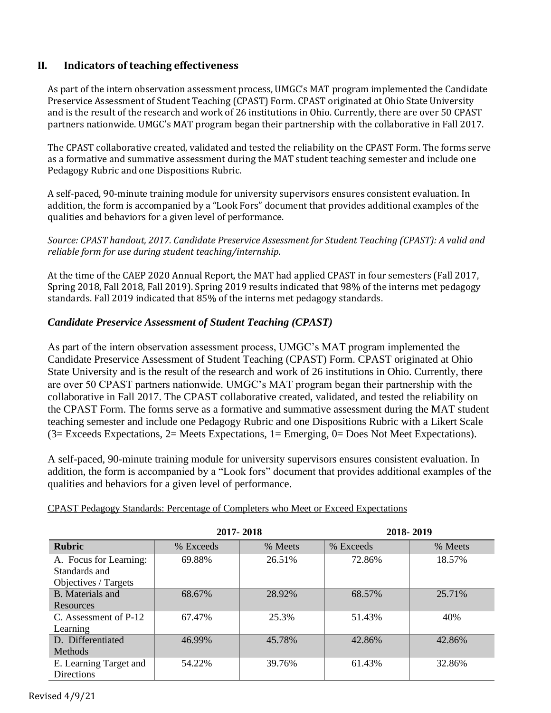# **II. Indicators of teaching effectiveness**

As part of the intern observation assessment process, UMGC's MAT program implemented the Candidate Preservice Assessment of Student Teaching (CPAST) Form. CPAST originated at Ohio State University and is the result of the research and work of 26 institutions in Ohio. Currently, there are over 50 CPAST partners nationwide. UMGC's MAT program began their partnership with the collaborative in Fall 2017.

The CPAST collaborative created, validated and tested the reliability on the CPAST Form. The forms serve as a formative and summative assessment during the MAT student teaching semester and include one Pedagogy Rubric and one Dispositions Rubric.

A self-paced, 90-minute training module for university supervisors ensures consistent evaluation. In addition, the form is accompanied by a "Look Fors" document that provides additional examples of the qualities and behaviors for a given level of performance.

### *Source: CPAST handout, 2017. Candidate Preservice Assessment for Student Teaching (CPAST): A valid and reliable form for use during student teaching/internship.*

At the time of the CAEP 2020 Annual Report, the MAT had applied CPAST in four semesters (Fall 2017, Spring 2018, Fall 2018, Fall 2019). Spring 2019 results indicated that 98% of the interns met pedagogy standards. Fall 2019 indicated that 85% of the interns met pedagogy standards.

# *Candidate Preservice Assessment of Student Teaching (CPAST)*

As part of the intern observation assessment process, UMGC's MAT program implemented the Candidate Preservice Assessment of Student Teaching (CPAST) Form. CPAST originated at Ohio State University and is the result of the research and work of 26 institutions in Ohio. Currently, there are over 50 CPAST partners nationwide. UMGC's MAT program began their partnership with the collaborative in Fall 2017. The CPAST collaborative created, validated, and tested the reliability on the CPAST Form. The forms serve as a formative and summative assessment during the MAT student teaching semester and include one Pedagogy Rubric and one Dispositions Rubric with a Likert Scale (3= Exceeds Expectations, 2= Meets Expectations, 1= Emerging, 0= Does Not Meet Expectations).

A self-paced, 90-minute training module for university supervisors ensures consistent evaluation. In addition, the form is accompanied by a "Look fors" document that provides additional examples of the qualities and behaviors for a given level of performance.

|                         |           | 2017-2018 | 2018-2019 |         |  |  |
|-------------------------|-----------|-----------|-----------|---------|--|--|
| <b>Rubric</b>           | % Exceeds | % Meets   | % Exceeds | % Meets |  |  |
| A. Focus for Learning:  | 69.88%    | 26.51%    | 72.86%    | 18.57%  |  |  |
| Standards and           |           |           |           |         |  |  |
| Objectives / Targets    |           |           |           |         |  |  |
| <b>B.</b> Materials and | 68.67%    | 28.92%    | 68.57%    | 25.71%  |  |  |
| Resources               |           |           |           |         |  |  |
| C. Assessment of P-12   | 67.47%    | 25.3%     | 51.43%    | 40%     |  |  |
| Learning                |           |           |           |         |  |  |
| D. Differentiated       | 46.99%    | 45.78%    | 42.86%    | 42.86%  |  |  |
| Methods                 |           |           |           |         |  |  |
| E. Learning Target and  | 54.22%    | 39.76%    | 61.43%    | 32.86%  |  |  |
| <b>Directions</b>       |           |           |           |         |  |  |

CPAST Pedagogy Standards: Percentage of Completers who Meet or Exceed Expectations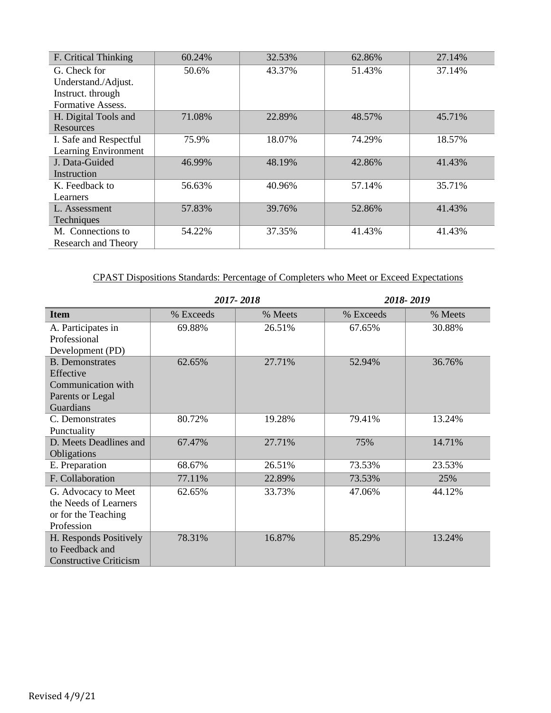| F. Critical Thinking       | 60.24% | 32.53% | 62.86% | 27.14% |
|----------------------------|--------|--------|--------|--------|
| G. Check for               | 50.6%  | 43.37% | 51.43% | 37.14% |
| Understand./Adjust.        |        |        |        |        |
| Instruct. through          |        |        |        |        |
| Formative Assess.          |        |        |        |        |
| H. Digital Tools and       | 71.08% | 22.89% | 48.57% | 45.71% |
| Resources                  |        |        |        |        |
| I. Safe and Respectful     | 75.9%  | 18.07% | 74.29% | 18.57% |
| Learning Environment       |        |        |        |        |
| J. Data-Guided             | 46.99% | 48.19% | 42.86% | 41.43% |
| Instruction                |        |        |        |        |
| K. Feedback to             | 56.63% | 40.96% | 57.14% | 35.71% |
| Learners                   |        |        |        |        |
| L. Assessment              | 57.83% | 39.76% | 52.86% | 41.43% |
| Techniques                 |        |        |        |        |
| M. Connections to          | 54.22% | 37.35% | 41.43% | 41.43% |
| <b>Research and Theory</b> |        |        |        |        |

# CPAST Dispositions Standards: Percentage of Completers who Meet or Exceed Expectations

|                                                                                            |           | 2017-2018 | 2018-2019 |         |  |  |
|--------------------------------------------------------------------------------------------|-----------|-----------|-----------|---------|--|--|
| <b>Item</b>                                                                                | % Exceeds | % Meets   | % Exceeds | % Meets |  |  |
| A. Participates in<br>Professional<br>Development (PD)                                     | 69.88%    | 26.51%    | 67.65%    | 30.88%  |  |  |
| <b>B.</b> Demonstrates<br>Effective<br>Communication with<br>Parents or Legal<br>Guardians | 62.65%    | 27.71%    | 52.94%    | 36.76%  |  |  |
| C. Demonstrates<br>Punctuality                                                             | 80.72%    | 19.28%    | 79.41%    | 13.24%  |  |  |
| D. Meets Deadlines and<br>Obligations                                                      | 67.47%    | 27.71%    | 75%       | 14.71%  |  |  |
| E. Preparation                                                                             | 68.67%    | 26.51%    | 73.53%    | 23.53%  |  |  |
| F. Collaboration                                                                           | 77.11%    | 22.89%    | 73.53%    | 25%     |  |  |
| G. Advocacy to Meet<br>the Needs of Learners<br>or for the Teaching<br>Profession          | 62.65%    | 33.73%    | 47.06%    | 44.12%  |  |  |
| H. Responds Positively<br>to Feedback and<br><b>Constructive Criticism</b>                 | 78.31%    | 16.87%    | 85.29%    | 13.24%  |  |  |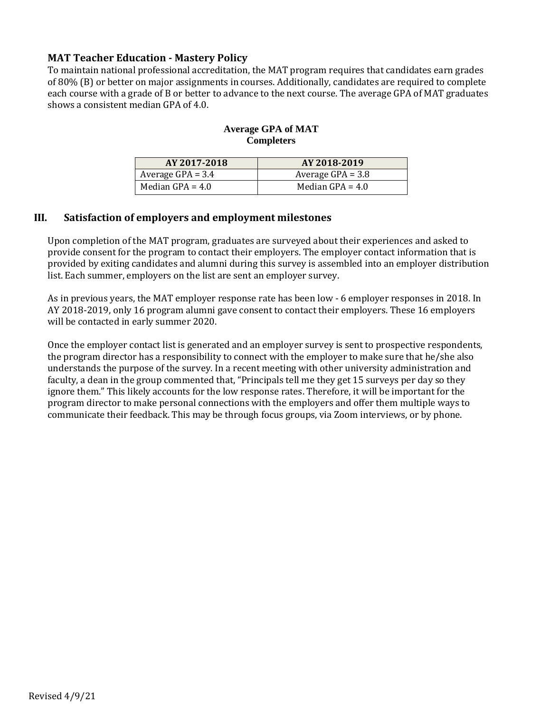# **MAT Teacher Education - Mastery Policy**

To maintain national professional accreditation, the MAT program requires that candidates earn grades of 80% (B) or better on major assignments in courses. Additionally, candidates are required to complete each course with a grade of B or better to advance to the next course. The average GPA of MAT graduates shows a consistent median GPA of 4.0.

#### **Average GPA of MAT Completers**

| AY 2017-2018        | AY 2018-2019        |
|---------------------|---------------------|
| Average $GPA = 3.4$ | Average $GPA = 3.8$ |
| Median GPA = $4.0$  | Median GPA $= 4.0$  |

# **III. Satisfaction of employers and employment milestones**

Upon completion of the MAT program, graduates are surveyed about their experiences and asked to provide consent for the program to contact their employers. The employer contact information that is provided by exiting candidates and alumni during this survey is assembled into an employer distribution list. Each summer, employers on the list are sent an employer survey.

As in previous years, the MAT employer response rate has been low - 6 employer responses in 2018. In AY 2018-2019, only 16 program alumni gave consent to contact their employers. These 16 employers will be contacted in early summer 2020.

Once the employer contact list is generated and an employer survey is sent to prospective respondents, the program director has a responsibility to connect with the employer to make sure that he/she also understands the purpose of the survey. In a recent meeting with other university administration and faculty, a dean in the group commented that, "Principals tell me they get 15 surveys per day so they ignore them." This likely accounts for the low response rates. Therefore, it will be important for the program director to make personal connections with the employers and offer them multiple ways to communicate their feedback. This may be through focus groups, via Zoom interviews, or by phone.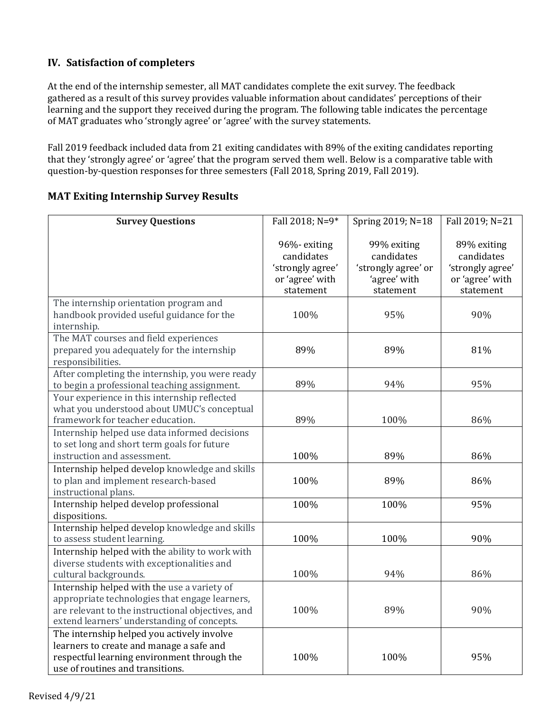# **IV. Satisfaction of completers**

At the end of the internship semester, all MAT candidates complete the exit survey. The feedback gathered as a result of this survey provides valuable information about candidates' perceptions of their learning and the support they received during the program. The following table indicates the percentage of MAT graduates who 'strongly agree' or 'agree' with the survey statements.

Fall 2019 feedback included data from 21 exiting candidates with 89% of the exiting candidates reporting that they 'strongly agree' or 'agree' that the program served them well. Below is a comparative table with question-by-question responses for three semesters (Fall 2018, Spring 2019, Fall 2019).

# **MAT Exiting Internship Survey Results**

| <b>Survey Questions</b>                                                                                                                                                                           | Fall 2018; N=9*                                                               | Spring 2019; N=18                                                             | Fall 2019; N=21                                                               |
|---------------------------------------------------------------------------------------------------------------------------------------------------------------------------------------------------|-------------------------------------------------------------------------------|-------------------------------------------------------------------------------|-------------------------------------------------------------------------------|
|                                                                                                                                                                                                   | 96%-exiting<br>candidates<br>'strongly agree'<br>or 'agree' with<br>statement | 99% exiting<br>candidates<br>'strongly agree' or<br>'agree' with<br>statement | 89% exiting<br>candidates<br>'strongly agree'<br>or 'agree' with<br>statement |
| The internship orientation program and<br>handbook provided useful guidance for the<br>internship.                                                                                                | 100%                                                                          | 95%                                                                           | 90%                                                                           |
| The MAT courses and field experiences<br>prepared you adequately for the internship<br>responsibilities.                                                                                          | 89%                                                                           | 89%                                                                           | 81%                                                                           |
| After completing the internship, you were ready<br>to begin a professional teaching assignment.                                                                                                   | 89%                                                                           | 94%                                                                           | 95%                                                                           |
| Your experience in this internship reflected<br>what you understood about UMUC's conceptual<br>framework for teacher education.                                                                   | 89%                                                                           | 100%                                                                          | 86%                                                                           |
| Internship helped use data informed decisions<br>to set long and short term goals for future<br>instruction and assessment.                                                                       | 100%                                                                          | 89%                                                                           | 86%                                                                           |
| Internship helped develop knowledge and skills<br>to plan and implement research-based<br>instructional plans.                                                                                    | 100%                                                                          | 89%                                                                           | 86%                                                                           |
| Internship helped develop professional<br>dispositions.                                                                                                                                           | 100%                                                                          | 100%                                                                          | 95%                                                                           |
| Internship helped develop knowledge and skills<br>to assess student learning.                                                                                                                     | 100%                                                                          | 100%                                                                          | 90%                                                                           |
| Internship helped with the ability to work with<br>diverse students with exceptionalities and<br>cultural backgrounds.                                                                            | 100%                                                                          | 94%                                                                           | 86%                                                                           |
| Internship helped with the use a variety of<br>appropriate technologies that engage learners,<br>are relevant to the instructional objectives, and<br>extend learners' understanding of concepts. | 100%                                                                          | 89%                                                                           | 90%                                                                           |
| The internship helped you actively involve<br>learners to create and manage a safe and<br>respectful learning environment through the<br>use of routines and transitions.                         | 100%                                                                          | 100%                                                                          | 95%                                                                           |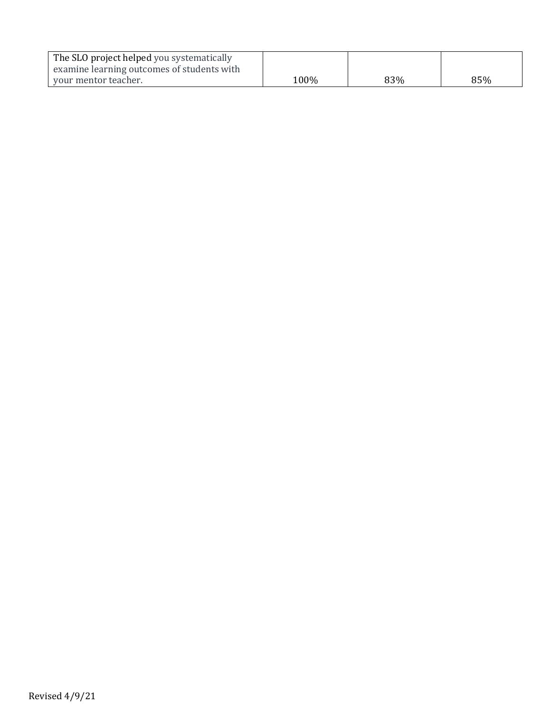| The SLO project helped you systematically  |      |     |     |
|--------------------------------------------|------|-----|-----|
| examine learning outcomes of students with |      |     |     |
| your mentor teacher.                       | 100% | 83% | 85% |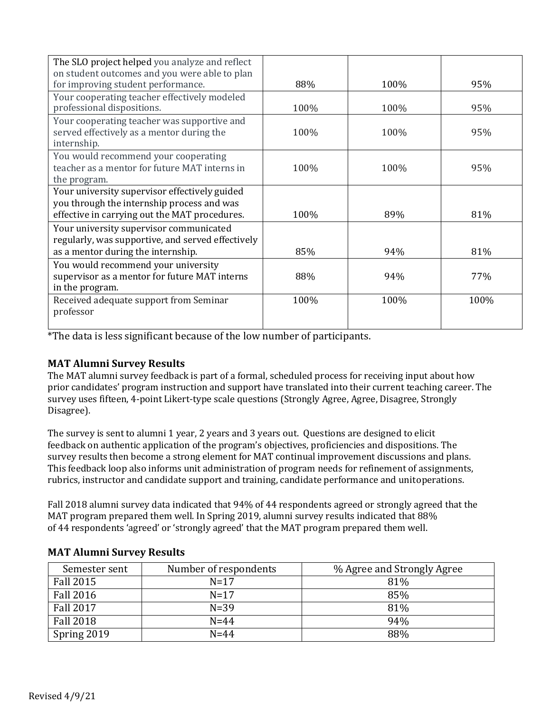| The SLO project helped you analyze and reflect                                                                                               |      |      |      |
|----------------------------------------------------------------------------------------------------------------------------------------------|------|------|------|
| on student outcomes and you were able to plan<br>for improving student performance.                                                          | 88%  | 100% | 95%  |
| Your cooperating teacher effectively modeled<br>professional dispositions.                                                                   | 100% | 100% | 95%  |
| Your cooperating teacher was supportive and<br>served effectively as a mentor during the<br>internship.                                      | 100% | 100% | 95%  |
| You would recommend your cooperating<br>teacher as a mentor for future MAT interns in<br>the program.                                        | 100% | 100% | 95%  |
| Your university supervisor effectively guided<br>you through the internship process and was<br>effective in carrying out the MAT procedures. | 100% | 89%  | 81%  |
| Your university supervisor communicated<br>regularly, was supportive, and served effectively<br>as a mentor during the internship.           | 85%  | 94%  | 81%  |
| You would recommend your university<br>supervisor as a mentor for future MAT interns<br>in the program.                                      | 88%  | 94%  | 77%  |
| Received adequate support from Seminar<br>professor                                                                                          | 100% | 100% | 100% |

\*The data is less significant because of the low number of participants.

# **MAT Alumni Survey Results**

The MAT alumni survey feedback is part of a formal, scheduled process for receiving input about how prior candidates' program instruction and support have translated into their current teaching career. The survey uses fifteen, 4-point Likert-type scale questions (Strongly Agree, Agree, Disagree, Strongly Disagree).

The survey is sent to alumni 1 year, 2 years and 3 years out. Questions are designed to elicit feedback on authentic application of the program's objectives, proficiencies and dispositions. The survey results then become a strong element for MAT continual improvement discussions and plans. This feedback loop also informs unit administration of program needs for refinement of assignments, rubrics, instructor and candidate support and training, candidate performance and unit operations.

Fall 2018 alumni survey data indicated that 94% of 44 respondents agreed or strongly agreed that the MAT program prepared them well. In Spring 2019, alumni survey results indicated that 88% of 44 respondents 'agreed' or 'strongly agreed' that the MAT program prepared them well.

| Semester sent    | Number of respondents | % Agree and Strongly Agree |
|------------------|-----------------------|----------------------------|
| <b>Fall 2015</b> | $N=17$                | 81%                        |
| <b>Fall 2016</b> | $N=17$                | 85%                        |
| <b>Fall 2017</b> | $N = 39$              | 81%                        |
| <b>Fall 2018</b> | $N = 44$              | 94%                        |
| Spring 2019      | $N = 44$              | 88%                        |

# **MAT Alumni Survey Results**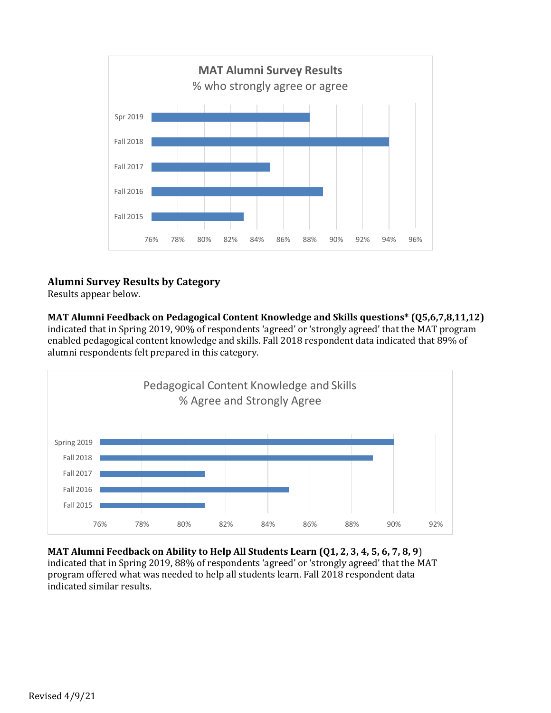

# **Alumni Survey Results by Category**

Results appear below.

**MAT Alumni Feedback on Pedagogical Content Knowledge and Skills questions\* (Q5,6,7,8,11,12)**  indicated that in Spring 2019, 90% of respondents 'agreed' or 'strongly agreed' that the MAT program enabled pedagogical content knowledge and skills. Fall 2018 respondent data indicated that 89% of alumni respondents felt prepared in this category.



**MAT Alumni Feedback on Ability to Help All Students Learn (Q1, 2, 3, 4, 5, 6, 7, 8, 9**) indicated that in Spring 2019, 88% of respondents 'agreed' or 'strongly agreed' that the MAT program offered what was needed to help all students learn. Fall 2018 respondent data indicated similar results.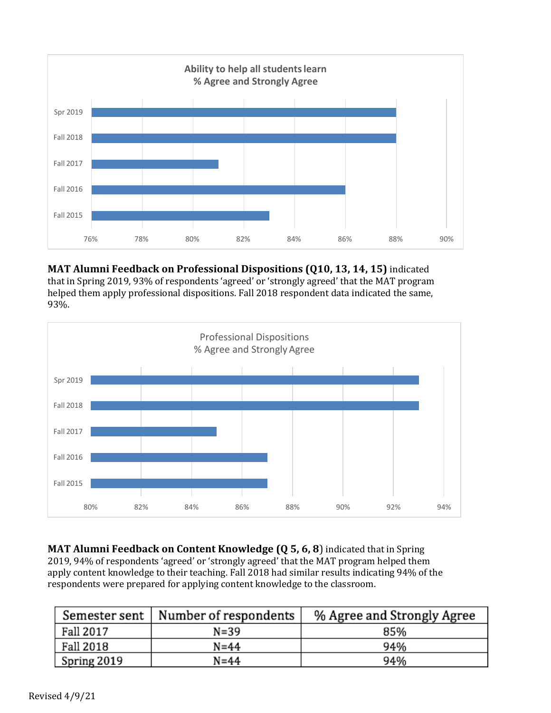

**MAT Alumni Feedback on Professional Dispositions (Q10, 13, 14, 15)** indicated that in Spring 2019, 93% of respondents 'agreed' or 'strongly agreed' that the MAT program helped them apply professional dispositions. Fall 2018 respondent data indicated the same, 93%.



**MAT Alumni Feedback on Content Knowledge (Q 5, 6, 8**) indicated that in Spring 2019, 94% of respondents 'agreed' or 'strongly agreed' that the MAT program helped them apply content knowledge to their teaching. Fall 2018 had similar results indicating 94% of the respondents were prepared for applying content knowledge to the classroom.

| Semester sent | Number of respondents | % Agree and Strongly Agree |
|---------------|-----------------------|----------------------------|
| Fall 2017     | $N = 39$              | 85%                        |
| Fall 2018     | $N = 44$              | 94%                        |
| Spring 2019   | $N = 44$              | 94%                        |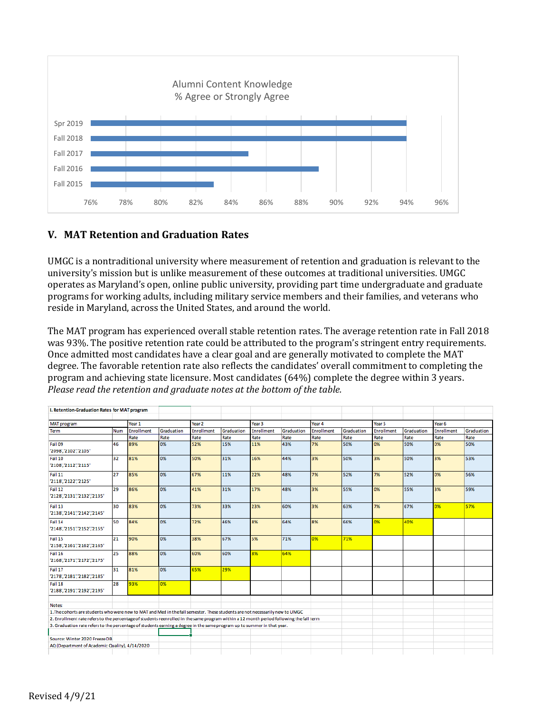

# **V. MAT Retention and Graduation Rates**

UMGC is a nontraditional university where measurement of retention and graduation is relevant to the university's mission but is unlike measurement of these outcomes at traditional universities. UMGC operates as Maryland's open, online public university, providing part time undergraduate and graduate programs for working adults, including military service members and their families, and veterans who reside in Maryland, across the United States, and around the world.

The MAT program has experienced overall stable retention rates. The average retention rate in Fall 2018 was 93%. The positive retention rate could be attributed to the program's stringent entry requirements. Once admitted most candidates have a clear goal and are generally motivated to complete the MAT degree. The favorable retention rate also reflects the candidates' overall commitment to completing the program and achieving state licensure. Most candidates (64%) complete the degree within 3 years. *Please read the retention and graduate notes at the bottom of the table.* 

| I. Retention-Graduation Rates for MAT program                                                                                           |            |                   |            |                   |            |                   |            |                   |            |                   |            |                   |            |
|-----------------------------------------------------------------------------------------------------------------------------------------|------------|-------------------|------------|-------------------|------------|-------------------|------------|-------------------|------------|-------------------|------------|-------------------|------------|
|                                                                                                                                         |            |                   |            |                   |            |                   |            |                   |            |                   |            |                   |            |
| <b>MAT program</b>                                                                                                                      |            | Year 1            |            | Year <sub>2</sub> |            | Year <sub>3</sub> |            | Year 4            |            | Year 5            |            | Year <sub>6</sub> |            |
| Term                                                                                                                                    | <b>Num</b> | <b>Enrollment</b> | Graduation | Enrollment        | Graduation | <b>Enrollment</b> | Graduation | <b>Enrollment</b> | Graduation | <b>Enrollment</b> | Graduation | <b>Enrollment</b> | Graduation |
|                                                                                                                                         |            | Rate              | Rate       | Rate              | Rate       | Rate              | Rate       | Rate              | Rate       | Rate              | Rate       | Rate              | Rate       |
| Fall 09<br>'2098','2102','2105'                                                                                                         | 46         | 89%               | 0%         | 52%               | 15%        | 11%               | 43%        | 7%                | 50%        | 0%                | 50%        | 0%                | 50%        |
| Fall 10<br>'2108','2112','2115'                                                                                                         | 32         | 81%               | 0%         | 50%               | 31%        | 16%               | 44%        | 3%                | 50%        | 3%                | 50%        | 3%                | 53%        |
| Fall 11<br>'2118','2122','2125'                                                                                                         | 27         | 85%               | 0%         | 67%               | 11%        | 22%               | 48%        | 7%                | 52%        | 7%                | 52%        | 0%                | 56%        |
| Fall 12<br>'2128','2131','2132','2135'                                                                                                  | 29         | 86%               | 0%         | 41%               | 31%        | 17%               | 48%        | 3%                | 55%        | 0%                | 55%        | 3%                | 59%        |
| Fall 13<br>'2138','2141','2142','2145'                                                                                                  | 30         | 83%               | 0%         | 73%               | 33%        | 23%               | 60%        | 3%                | 63%        | 7%                | 67%        | 0%                | 57%        |
| Fall 14<br>'2148','2151','2152','2155'                                                                                                  | 50         | 84%               | 0%         | 72%               | 46%        | 8%                | 64%        | 8%                | 66%        | 0%                | 40%        |                   |            |
| Fall 15<br>'2158','2161','2162','2165'                                                                                                  | 21         | 90%               | 0%         | 38%               | 67%        | 5%                | 71%        | 0%                | 71%        |                   |            |                   |            |
| Fall 16<br>'2168','2171','2172','2175'                                                                                                  | 25         | 88%               | 0%         | 60%               | 60%        | 8%                | 64%        |                   |            |                   |            |                   |            |
| Fall 17<br>'2178','2181','2182','2185'                                                                                                  | 31         | 81%               | 0%         | 65%               | 29%        |                   |            |                   |            |                   |            |                   |            |
| Fall 18<br>'2188','2191','2192','2195'                                                                                                  | 28         | 93%               | 0%         |                   |            |                   |            |                   |            |                   |            |                   |            |
| Notes:                                                                                                                                  |            |                   |            |                   |            |                   |            |                   |            |                   |            |                   |            |
| 1. The cohorts are students who were new to MAT and Med in the fall semester. These students are not necessarily new to UMGC            |            |                   |            |                   |            |                   |            |                   |            |                   |            |                   |            |
| 2. Enrollment rate refers to the percentage of students reenrolled in the same program within a 12 month period following the fall term |            |                   |            |                   |            |                   |            |                   |            |                   |            |                   |            |
| 3. Graduation rate refers to the percentage of students earning a degree in the same program up to summer in that year.                 |            |                   |            |                   |            |                   |            |                   |            |                   |            |                   |            |
| Source: Winter 2020 Freeze DB                                                                                                           |            |                   |            |                   |            |                   |            |                   |            |                   |            |                   |            |
| AQ (Department of Academic Quality), 4/14/2020                                                                                          |            |                   |            |                   |            |                   |            |                   |            |                   |            |                   |            |
|                                                                                                                                         |            |                   |            |                   |            |                   |            |                   |            |                   |            |                   |            |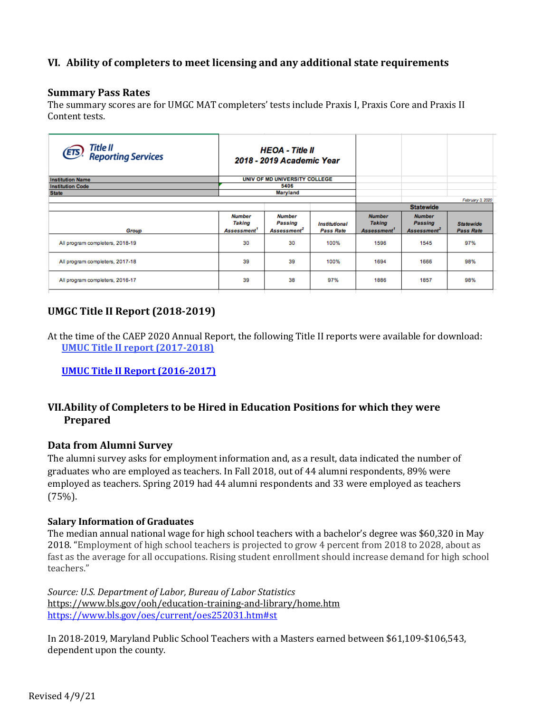# **VI. Ability of completers to meet licensing and any additional state requirements**

#### **Summary Pass Rates**

The summary scores are for UMGC MAT completers' tests include Praxis I, Praxis Core and Praxis II Content tests.

| Title II<br>Reporting Services<br>(ETS) |                                                    | <b>HEOA</b> - Title II<br>2018 - 2019 Academic Year |                                                 |                                                           |                                                     |                                      |
|-----------------------------------------|----------------------------------------------------|-----------------------------------------------------|-------------------------------------------------|-----------------------------------------------------------|-----------------------------------------------------|--------------------------------------|
| <b>Institution Name</b>                 |                                                    | UNIV OF MD UNIVERSITY COLLEGE                       |                                                 |                                                           |                                                     |                                      |
| <b>Institution Code</b>                 |                                                    | 5406                                                |                                                 |                                                           |                                                     |                                      |
| <b>State</b>                            |                                                    | Maryland                                            |                                                 |                                                           |                                                     |                                      |
|                                         |                                                    |                                                     |                                                 |                                                           |                                                     | February 3, 2020                     |
|                                         |                                                    |                                                     |                                                 | <b>Statewide</b>                                          |                                                     |                                      |
| Group                                   | <b>Number</b><br>Taking<br>Assessment <sup>1</sup> | <b>Number</b><br>Passing<br>Assessment <sup>2</sup> | <i><b>Institutional</b></i><br><b>Pass Rate</b> | <b>Number</b><br><b>Taking</b><br>Assessment <sup>1</sup> | <b>Number</b><br>Passing<br>Assessment <sup>2</sup> | <b>Statewide</b><br><b>Pass Rate</b> |
| All program completers, 2018-19         | 30                                                 | 30                                                  | 100%                                            | 1596                                                      | 1545                                                | 97%                                  |
| All program completers, 2017-18         | 39                                                 | 39                                                  | 100%                                            | 1694                                                      | 1666                                                | 98%                                  |
| All program completers, 2016-17         | 39                                                 | 38                                                  | 97%                                             | 1886                                                      | 1857                                                | 98%                                  |

# **UMGC Title II Report (2018-2019)**

At the time of the CAEP 2020 Annual Report, the following Title II reports were available for download: **UMUC Title II report (2017-2018)** 

**UMUC Title II Report (2016-2017)**

# **VII.Ability of Completers to be Hired in Education Positions for which they were Prepared**

### **Data from Alumni Survey**

The alumni survey asks for employment information and, as a result, data indicated the number of graduates who are employed as teachers. In Fall 2018, out of 44 alumni respondents, 89% were employed as teachers. Spring 2019 had 44 alumni respondents and 33 were employed as teachers (75%).

#### **Salary Information of Graduates**

The median annual national wage for high school teachers with a bachelor's degree was \$60,320 in May 2018. "Employment of high school teachers is projected to grow 4 percent from 2018 to 2028, about as fast as the average for all occupations. Rising student enrollment should increase demand for high school teachers."

*Source: U.S. Department of Labor, Bureau of Labor Statistics*  <https://www.bls.gov/ooh/education-training-and-library/home.htm> <https://www.bls.gov/oes/current/oes252031.htm#st>

In 2018-2019, Maryland Public School Teachers with a Masters earned between \$61,109-\$106,543, dependent upon the county.